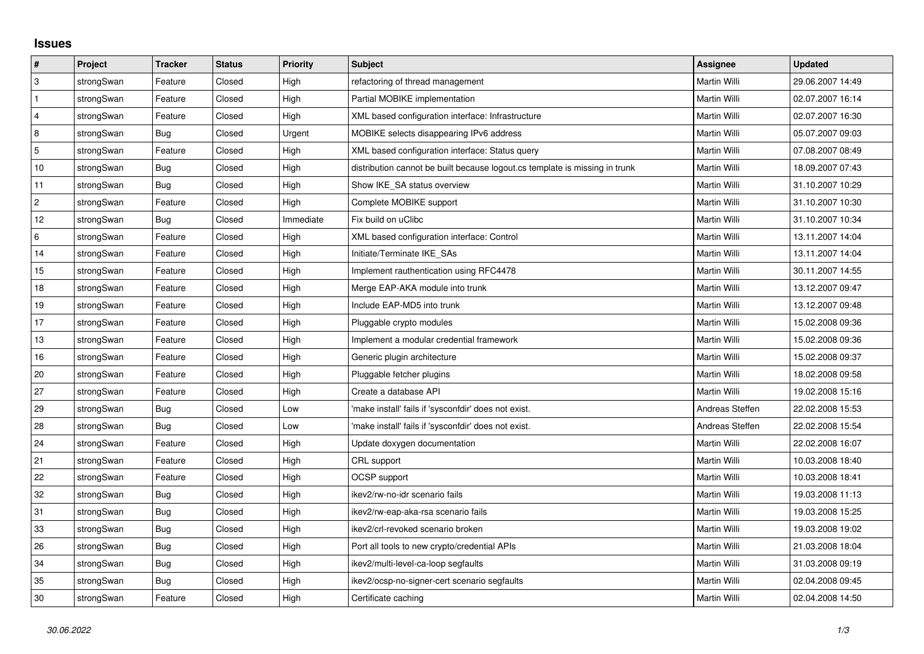## **Issues**

| #              | Project    | <b>Tracker</b> | <b>Status</b> | <b>Priority</b> | Subject                                                                     | <b>Assignee</b> | <b>Updated</b>   |
|----------------|------------|----------------|---------------|-----------------|-----------------------------------------------------------------------------|-----------------|------------------|
| ΙЗ.            | strongSwan | Feature        | Closed        | High            | refactoring of thread management                                            | Martin Willi    | 29.06.2007 14:49 |
| $\mathbf{1}$   | strongSwan | Feature        | Closed        | High            | Partial MOBIKE implementation                                               | Martin Willi    | 02.07.2007 16:14 |
| $\overline{4}$ | strongSwan | Feature        | Closed        | High            | XML based configuration interface: Infrastructure                           | Martin Willi    | 02.07.2007 16:30 |
| 8              | strongSwan | Bug            | Closed        | Urgent          | MOBIKE selects disappearing IPv6 address                                    | Martin Willi    | 05.07.2007 09:03 |
| $\overline{5}$ | strongSwan | Feature        | Closed        | High            | XML based configuration interface: Status query                             | Martin Willi    | 07.08.2007 08:49 |
| 10             | strongSwan | Bug            | Closed        | High            | distribution cannot be built because logout.cs template is missing in trunk | Martin Willi    | 18.09.2007 07:43 |
| 11             | strongSwan | Bug            | Closed        | High            | Show IKE SA status overview                                                 | Martin Willi    | 31.10.2007 10:29 |
| $\overline{2}$ | strongSwan | Feature        | Closed        | High            | Complete MOBIKE support                                                     | Martin Willi    | 31.10.2007 10:30 |
| 12             | strongSwan | Bug            | Closed        | Immediate       | Fix build on uClibc                                                         | Martin Willi    | 31.10.2007 10:34 |
| 6              | strongSwan | Feature        | Closed        | High            | XML based configuration interface: Control                                  | Martin Willi    | 13.11.2007 14:04 |
| 14             | strongSwan | Feature        | Closed        | High            | Initiate/Terminate IKE_SAs                                                  | Martin Willi    | 13.11.2007 14:04 |
| 15             | strongSwan | Feature        | Closed        | High            | Implement rauthentication using RFC4478                                     | Martin Willi    | 30.11.2007 14:55 |
| 18             | strongSwan | Feature        | Closed        | High            | Merge EAP-AKA module into trunk                                             | Martin Willi    | 13.12.2007 09:47 |
| 19             | strongSwan | Feature        | Closed        | High            | Include EAP-MD5 into trunk                                                  | Martin Willi    | 13.12.2007 09:48 |
| 17             | strongSwan | Feature        | Closed        | High            | Pluggable crypto modules                                                    | Martin Willi    | 15.02.2008 09:36 |
| 13             | strongSwan | Feature        | Closed        | High            | Implement a modular credential framework                                    | Martin Willi    | 15.02.2008 09:36 |
| 16             | strongSwan | Feature        | Closed        | High            | Generic plugin architecture                                                 | Martin Willi    | 15.02.2008 09:37 |
| 20             | strongSwan | Feature        | Closed        | High            | Pluggable fetcher plugins                                                   | Martin Willi    | 18.02.2008 09:58 |
| 27             | strongSwan | Feature        | Closed        | High            | Create a database API                                                       | Martin Willi    | 19.02.2008 15:16 |
| 29             | strongSwan | Bug            | Closed        | Low             | make install' fails if 'sysconfdir' does not exist.                         | Andreas Steffen | 22.02.2008 15:53 |
| 28             | strongSwan | Bug            | Closed        | Low             | 'make install' fails if 'sysconfdir' does not exist.                        | Andreas Steffen | 22.02.2008 15:54 |
| 24             | strongSwan | Feature        | Closed        | High            | Update doxygen documentation                                                | Martin Willi    | 22.02.2008 16:07 |
| 21             | strongSwan | Feature        | Closed        | High            | CRL support                                                                 | Martin Willi    | 10.03.2008 18:40 |
| 22             | strongSwan | Feature        | Closed        | High            | <b>OCSP</b> support                                                         | Martin Willi    | 10.03.2008 18:41 |
| 32             | strongSwan | Bug            | Closed        | High            | ikev2/rw-no-idr scenario fails                                              | Martin Willi    | 19.03.2008 11:13 |
| 31             | strongSwan | Bug            | Closed        | High            | ikev2/rw-eap-aka-rsa scenario fails                                         | Martin Willi    | 19.03.2008 15:25 |
| 33             | strongSwan | Bug            | Closed        | High            | ikev2/crl-revoked scenario broken                                           | Martin Willi    | 19.03.2008 19:02 |
| 26             | strongSwan | <b>Bug</b>     | Closed        | High            | Port all tools to new crypto/credential APIs                                | Martin Willi    | 21.03.2008 18:04 |
| 34             | strongSwan | Bug            | Closed        | High            | ikev2/multi-level-ca-loop segfaults                                         | Martin Willi    | 31.03.2008 09:19 |
| 35             | strongSwan | Bug            | Closed        | High            | ikev2/ocsp-no-signer-cert scenario segfaults                                | Martin Willi    | 02.04.2008 09:45 |
| 30             | strongSwan | Feature        | Closed        | High            | Certificate caching                                                         | Martin Willi    | 02.04.2008 14:50 |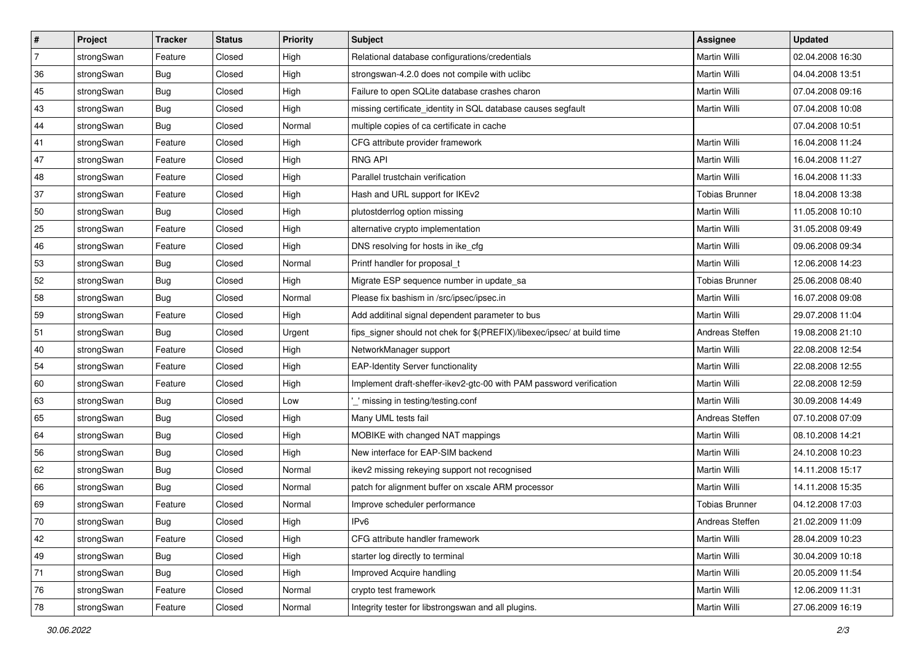| ∦              | Project    | <b>Tracker</b> | <b>Status</b> | <b>Priority</b> | <b>Subject</b>                                                          | Assignee              | <b>Updated</b>   |
|----------------|------------|----------------|---------------|-----------------|-------------------------------------------------------------------------|-----------------------|------------------|
| $\overline{7}$ | strongSwan | Feature        | Closed        | High            | Relational database configurations/credentials                          | Martin Willi          | 02.04.2008 16:30 |
| 36             | strongSwan | <b>Bug</b>     | Closed        | High            | strongswan-4.2.0 does not compile with uclibe                           | Martin Willi          | 04.04.2008 13:51 |
| 45             | strongSwan | Bug            | Closed        | High            | Failure to open SQLite database crashes charon                          | Martin Willi          | 07.04.2008 09:16 |
| 43             | strongSwan | <b>Bug</b>     | Closed        | High            | missing certificate_identity in SQL database causes segfault            | Martin Willi          | 07.04.2008 10:08 |
| 44             | strongSwan | Bug            | Closed        | Normal          | multiple copies of ca certificate in cache                              |                       | 07.04.2008 10:51 |
| 41             | strongSwan | Feature        | Closed        | High            | CFG attribute provider framework                                        | Martin Willi          | 16.04.2008 11:24 |
| 47             | strongSwan | Feature        | Closed        | High            | <b>RNG API</b>                                                          | Martin Willi          | 16.04.2008 11:27 |
| 48             | strongSwan | Feature        | Closed        | High            | Parallel trustchain verification                                        | Martin Willi          | 16.04.2008 11:33 |
| 37             | strongSwan | Feature        | Closed        | High            | Hash and URL support for IKEv2                                          | <b>Tobias Brunner</b> | 18.04.2008 13:38 |
| 50             | strongSwan | <b>Bug</b>     | Closed        | High            | plutostderrlog option missing                                           | Martin Willi          | 11.05.2008 10:10 |
| 25             | strongSwan | Feature        | Closed        | High            | alternative crypto implementation                                       | Martin Willi          | 31.05.2008 09:49 |
| 46             | strongSwan | Feature        | Closed        | High            | DNS resolving for hosts in ike_cfg                                      | Martin Willi          | 09.06.2008 09:34 |
| 53             | strongSwan | Bug            | Closed        | Normal          | Printf handler for proposal_t                                           | <b>Martin Willi</b>   | 12.06.2008 14:23 |
| 52             | strongSwan | Bug            | Closed        | High            | Migrate ESP sequence number in update_sa                                | <b>Tobias Brunner</b> | 25.06.2008 08:40 |
| 58             | strongSwan | Bug            | Closed        | Normal          | Please fix bashism in /src/ipsec/ipsec.in                               | Martin Willi          | 16.07.2008 09:08 |
| 59             | strongSwan | Feature        | Closed        | High            | Add additinal signal dependent parameter to bus                         | Martin Willi          | 29.07.2008 11:04 |
| 51             | strongSwan | Bug            | Closed        | Urgent          | fips_signer should not chek for \$(PREFIX)/libexec/ipsec/ at build time | Andreas Steffen       | 19.08.2008 21:10 |
| 40             | strongSwan | Feature        | Closed        | High            | NetworkManager support                                                  | Martin Willi          | 22.08.2008 12:54 |
| 54             | strongSwan | Feature        | Closed        | High            | <b>EAP-Identity Server functionality</b>                                | Martin Willi          | 22.08.2008 12:55 |
| 60             | strongSwan | Feature        | Closed        | High            | Implement draft-sheffer-ikev2-gtc-00 with PAM password verification     | Martin Willi          | 22.08.2008 12:59 |
| 63             | strongSwan | Bug            | Closed        | Low             | _' missing in testing/testing.conf                                      | Martin Willi          | 30.09.2008 14:49 |
| 65             | strongSwan | Bug            | Closed        | High            | Many UML tests fail                                                     | Andreas Steffen       | 07.10.2008 07:09 |
| 64             | strongSwan | Bug            | Closed        | High            | MOBIKE with changed NAT mappings                                        | <b>Martin Willi</b>   | 08.10.2008 14:21 |
| 56             | strongSwan | <b>Bug</b>     | Closed        | High            | New interface for EAP-SIM backend                                       | Martin Willi          | 24.10.2008 10:23 |
| 62             | strongSwan | <b>Bug</b>     | Closed        | Normal          | ikev2 missing rekeying support not recognised                           | Martin Willi          | 14.11.2008 15:17 |
| 66             | strongSwan | Bug            | Closed        | Normal          | patch for alignment buffer on xscale ARM processor                      | <b>Martin Willi</b>   | 14.11.2008 15:35 |
| 69             | strongSwan | Feature        | Closed        | Normal          | Improve scheduler performance                                           | Tobias Brunner        | 04.12.2008 17:03 |
| 70             | strongSwan | <b>Bug</b>     | Closed        | High            | IPv6                                                                    | Andreas Steffen       | 21.02.2009 11:09 |
| 42             | strongSwan | Feature        | Closed        | High            | CFG attribute handler framework                                         | Martin Willi          | 28.04.2009 10:23 |
| 49             | strongSwan | Bug            | Closed        | High            | starter log directly to terminal                                        | Martin Willi          | 30.04.2009 10:18 |
| 71             | strongSwan | Bug            | Closed        | High            | Improved Acquire handling                                               | Martin Willi          | 20.05.2009 11:54 |
| 76             | strongSwan | Feature        | Closed        | Normal          | crypto test framework                                                   | Martin Willi          | 12.06.2009 11:31 |
| 78             | strongSwan | Feature        | Closed        | Normal          | Integrity tester for libstrongswan and all plugins.                     | Martin Willi          | 27.06.2009 16:19 |